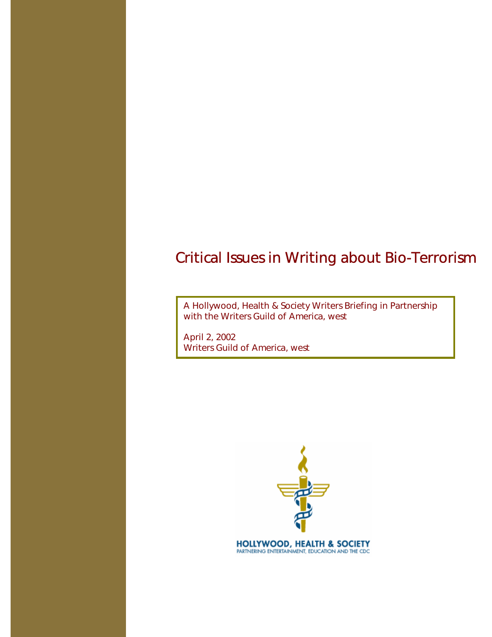A Hollywood, Health & Society Writers Briefing in Partnership with the Writers Guild of America, west

April 2, 2002 Writers Guild of America, west

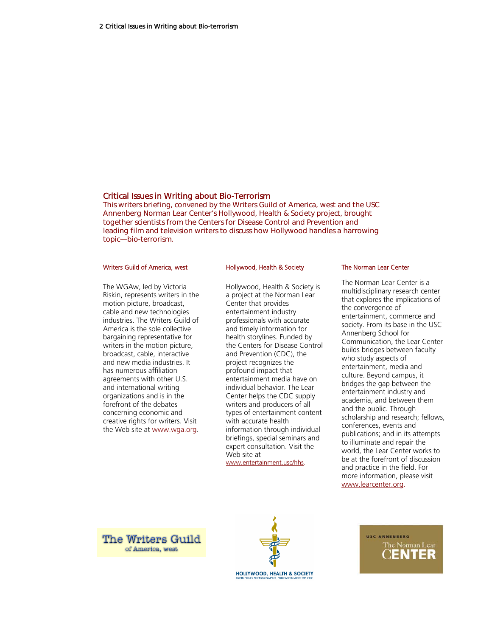This writers briefing, convened by the Writers Guild of America, west and the USC Annenberg Norman Lear Center's Hollywood, Health & Society project, brought together scientists from the Centers for Disease Control and Prevention and leading film and television writers to discuss how Hollywood handles a harrowing topic—bio-terrorism.

#### Writers Guild of America, west

The WGAw, led by Victoria Riskin, represents writers in the motion picture, broadcast, cable and new technologies industries. The Writers Guild of America is the sole collective bargaining representative for writers in the motion picture, broadcast, cable, interactive and new media industries. It has numerous affiliation agreements with other U.S. and international writing organizations and is in the forefront of the debates concerning economic and creative rights for writers. Visit the Web site at www.wga.org.

#### Hollywood, Health & Society

Hollywood, Health & Society is a project at the Norman Lear Center that provides entertainment industry professionals with accurate and timely information for health storylines. Funded by the Centers for Disease Control and Prevention (CDC), the project recognizes the profound impact that entertainment media have on individual behavior. The Lear Center helps the CDC supply writers and producers of all types of entertainment content with accurate health information through individual briefings, special seminars and expert consultation. Visit the Web site at

www.entertainment.usc/hhs.

#### The Norman Lear Center

The Norman Lear Center is a multidisciplinary research center that explores the implications of the convergence of entertainment, commerce and society. From its base in the USC Annenberg School for Communication, the Lear Center builds bridges between faculty who study aspects of entertainment, media and culture. Beyond campus, it bridges the gap between the entertainment industry and academia, and between them and the public. Through scholarship and research; fellows, conferences, events and publications; and in its attempts to illuminate and repair the world, the Lear Center works to be at the forefront of discussion and practice in the field. For more information, please visit www.learcenter.org.





USC ANNENBERG The Norman Lear JENTER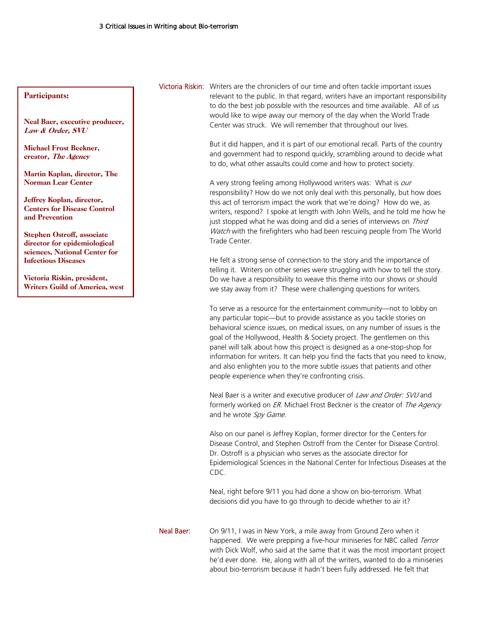#### Participants:

Neal Baer, executive producer, Law & Order, SVU

Michael Frost Beckner, creator, The Agency

Martin Kaplan, director, The Norman Lear Center

Jeffrey Koplan, director, Centers for Disease Control and Prevention

Stephen Ostroff, associate director for epidemiological sciences, National Center for Infectious Diseases

Victoria Riskin, president, Writers Guild of America, west

# Victoria Riskin: Writers are the chroniclers of our time and often tackle important issues relevant to the public. In that regard, writers have an important responsibility to do the best job possible with the resources and time available. All of us would like to wipe away our memory of the day when the World Trade Center was struck. We will remember that throughout our lives.

 But it did happen, and it is part of our emotional recall. Parts of the country and government had to respond quickly, scrambling around to decide what to do, what other assaults could come and how to protect society.

A very strong feeling among Hollywood writers was: What is our responsibility? How do we not only deal with this personally, but how does this act of terrorism impact the work that we're doing? How do we, as writers, respond? I spoke at length with John Wells, and he told me how he just stopped what he was doing and did a series of interviews on Third Watch with the firefighters who had been rescuing people from The World Trade Center.

 He felt a strong sense of connection to the story and the importance of telling it. Writers on other series were struggling with how to tell the story. Do we have a responsibility to weave this theme into our shows or should we stay away from it? These were challenging questions for writers.

 To serve as a resource for the entertainment community—not to lobby on any particular topic—but to provide assistance as you tackle stories on behavioral science issues, on medical issues, on any number of issues is the goal of the Hollywood, Health & Society project. The gentlemen on this panel will talk about how this project is designed as a one-stop-shop for information for writers. It can help you find the facts that you need to know, and also enlighten you to the more subtle issues that patients and other people experience when they're confronting crisis.

Neal Baer is a writer and executive producer of Law and Order: SVU and formerly worked on *ER*. Michael Frost Beckner is the creator of *The Agency* and he wrote Spy Game.

 Also on our panel is Jeffrey Koplan, former director for the Centers for Disease Control, and Stephen Ostroff from the Center for Disease Control. Dr. Ostroff is a physician who serves as the associate director for Epidemiological Sciences in the National Center for Infectious Diseases at the CDC.

 Neal, right before 9/11 you had done a show on bio-terrorism. What decisions did you have to go through to decide whether to air it?

Neal Baer: On 9/11, I was in New York, a mile away from Ground Zero when it happened. We were prepping a five-hour miniseries for NBC called Terror with Dick Wolf, who said at the same that it was the most important project he'd ever done. He, along with all of the writers, wanted to do a miniseries about bio-terrorism because it hadn't been fully addressed. He felt that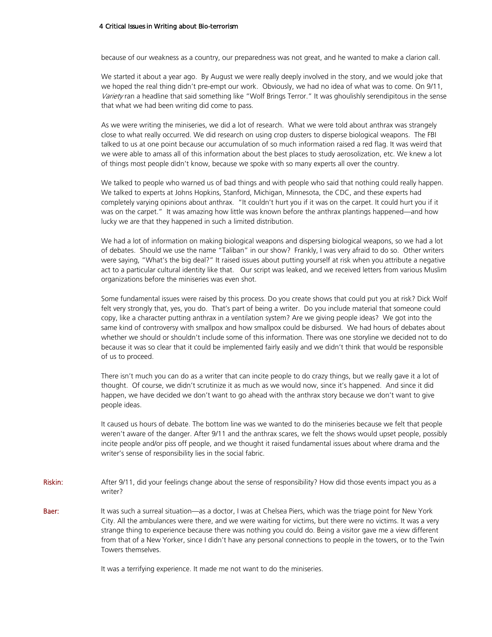because of our weakness as a country, our preparedness was not great, and he wanted to make a clarion call.

We started it about a year ago. By August we were really deeply involved in the story, and we would joke that we hoped the real thing didn't pre-empt our work. Obviously, we had no idea of what was to come. On 9/11, Variety ran a headline that said something like "Wolf Brings Terror." It was ghoulishly serendipitous in the sense that what we had been writing did come to pass.

As we were writing the miniseries, we did a lot of research. What we were told about anthrax was strangely close to what really occurred. We did research on using crop dusters to disperse biological weapons. The FBI talked to us at one point because our accumulation of so much information raised a red flag. It was weird that we were able to amass all of this information about the best places to study aerosolization, etc. We knew a lot of things most people didn't know, because we spoke with so many experts all over the country.

We talked to people who warned us of bad things and with people who said that nothing could really happen. We talked to experts at Johns Hopkins, Stanford, Michigan, Minnesota, the CDC, and these experts had completely varying opinions about anthrax. "It couldn't hurt you if it was on the carpet. It could hurt you if it was on the carpet." It was amazing how little was known before the anthrax plantings happened—and how lucky we are that they happened in such a limited distribution.

We had a lot of information on making biological weapons and dispersing biological weapons, so we had a lot of debates. Should we use the name "Taliban" in our show? Frankly, I was very afraid to do so. Other writers were saying, "What's the big deal?" It raised issues about putting yourself at risk when you attribute a negative act to a particular cultural identity like that. Our script was leaked, and we received letters from various Muslim organizations before the miniseries was even shot.

Some fundamental issues were raised by this process. Do you create shows that could put you at risk? Dick Wolf felt very strongly that, yes, you do. That's part of being a writer. Do you include material that someone could copy, like a character putting anthrax in a ventilation system? Are we giving people ideas? We got into the same kind of controversy with smallpox and how smallpox could be disbursed. We had hours of debates about whether we should or shouldn't include some of this information. There was one storyline we decided not to do because it was so clear that it could be implemented fairly easily and we didn't think that would be responsible of us to proceed.

There isn't much you can do as a writer that can incite people to do crazy things, but we really gave it a lot of thought. Of course, we didn't scrutinize it as much as we would now, since it's happened. And since it did happen, we have decided we don't want to go ahead with the anthrax story because we don't want to give people ideas.

It caused us hours of debate. The bottom line was we wanted to do the miniseries because we felt that people weren't aware of the danger. After 9/11 and the anthrax scares, we felt the shows would upset people, possibly incite people and/or piss off people, and we thought it raised fundamental issues about where drama and the writer's sense of responsibility lies in the social fabric.

- Riskin: After 9/11, did your feelings change about the sense of responsibility? How did those events impact you as a writer?
- **Baer:** It was such a surreal situation—as a doctor, I was at Chelsea Piers, which was the triage point for New York City. All the ambulances were there, and we were waiting for victims, but there were no victims. It was a very strange thing to experience because there was nothing you could do. Being a visitor gave me a view different from that of a New Yorker, since I didn't have any personal connections to people in the towers, or to the Twin Towers themselves.

It was a terrifying experience. It made me not want to do the miniseries.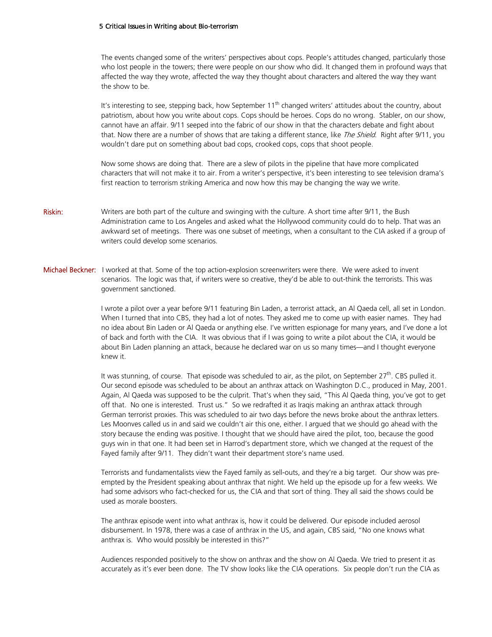The events changed some of the writers' perspectives about cops. People's attitudes changed, particularly those who lost people in the towers; there were people on our show who did. It changed them in profound ways that affected the way they wrote, affected the way they thought about characters and altered the way they want the show to be.

It's interesting to see, stepping back, how September  $11<sup>th</sup>$  changed writers' attitudes about the country, about patriotism, about how you write about cops. Cops should be heroes. Cops do no wrong. Stabler, on our show, cannot have an affair. 9/11 seeped into the fabric of our show in that the characters debate and fight about that. Now there are a number of shows that are taking a different stance, like The Shield. Right after 9/11, you wouldn't dare put on something about bad cops, crooked cops, cops that shoot people.

Now some shows are doing that. There are a slew of pilots in the pipeline that have more complicated characters that will not make it to air. From a writer's perspective, it's been interesting to see television drama's first reaction to terrorism striking America and now how this may be changing the way we write.

Riskin: Writers are both part of the culture and swinging with the culture. A short time after 9/11, the Bush Administration came to Los Angeles and asked what the Hollywood community could do to help. That was an awkward set of meetings. There was one subset of meetings, when a consultant to the CIA asked if a group of writers could develop some scenarios.

Michael Beckner: I worked at that. Some of the top action-explosion screenwriters were there. We were asked to invent scenarios. The logic was that, if writers were so creative, they'd be able to out-think the terrorists. This was government sanctioned.

> I wrote a pilot over a year before 9/11 featuring Bin Laden, a terrorist attack, an Al Qaeda cell, all set in London. When I turned that into CBS, they had a lot of notes. They asked me to come up with easier names. They had no idea about Bin Laden or Al Qaeda or anything else. I've written espionage for many years, and I've done a lot of back and forth with the CIA. It was obvious that if I was going to write a pilot about the CIA, it would be about Bin Laden planning an attack, because he declared war on us so many times—and I thought everyone knew it.

> It was stunning, of course. That episode was scheduled to air, as the pilot, on September  $27^{th}$ . CBS pulled it. Our second episode was scheduled to be about an anthrax attack on Washington D.C., produced in May, 2001. Again, Al Qaeda was supposed to be the culprit. That's when they said, "This Al Qaeda thing, you've got to get off that. No one is interested. Trust us." So we redrafted it as Iraqis making an anthrax attack through German terrorist proxies. This was scheduled to air two days before the news broke about the anthrax letters. Les Moonves called us in and said we couldn't air this one, either. I argued that we should go ahead with the story because the ending was positive. I thought that we should have aired the pilot, too, because the good guys win in that one. It had been set in Harrod's department store, which we changed at the request of the Fayed family after 9/11. They didn't want their department store's name used.

Terrorists and fundamentalists view the Fayed family as sell-outs, and they're a big target. Our show was preempted by the President speaking about anthrax that night. We held up the episode up for a few weeks. We had some advisors who fact-checked for us, the CIA and that sort of thing. They all said the shows could be used as morale boosters.

The anthrax episode went into what anthrax is, how it could be delivered. Our episode included aerosol disbursement. In 1978, there was a case of anthrax in the US, and again, CBS said, "No one knows what anthrax is. Who would possibly be interested in this?"

Audiences responded positively to the show on anthrax and the show on Al Qaeda. We tried to present it as accurately as it's ever been done. The TV show looks like the CIA operations. Six people don't run the CIA as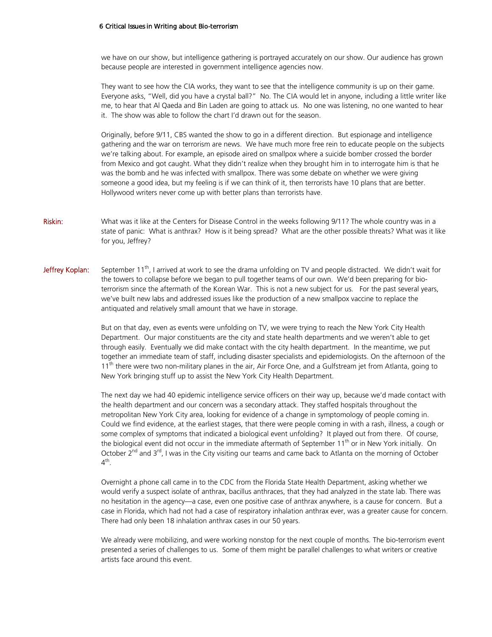we have on our show, but intelligence gathering is portrayed accurately on our show. Our audience has grown because people are interested in government intelligence agencies now.

They want to see how the CIA works, they want to see that the intelligence community is up on their game. Everyone asks, "Well, did you have a crystal ball?" No. The CIA would let in anyone, including a little writer like me, to hear that Al Qaeda and Bin Laden are going to attack us. No one was listening, no one wanted to hear it. The show was able to follow the chart I'd drawn out for the season.

Originally, before 9/11, CBS wanted the show to go in a different direction. But espionage and intelligence gathering and the war on terrorism are news. We have much more free rein to educate people on the subjects we're talking about. For example, an episode aired on smallpox where a suicide bomber crossed the border from Mexico and got caught. What they didn't realize when they brought him in to interrogate him is that he was the bomb and he was infected with smallpox. There was some debate on whether we were giving someone a good idea, but my feeling is if we can think of it, then terrorists have 10 plans that are better. Hollywood writers never come up with better plans than terrorists have.

- Riskin: What was it like at the Centers for Disease Control in the weeks following 9/11? The whole country was in a state of panic: What is anthrax? How is it being spread? What are the other possible threats? What was it like for you, Jeffrey?
- Jeffrey Koplan: September 11<sup>th</sup>, I arrived at work to see the drama unfolding on TV and people distracted. We didn't wait for the towers to collapse before we began to pull together teams of our own. We'd been preparing for bioterrorism since the aftermath of the Korean War. This is not a new subject for us. For the past several years, we've built new labs and addressed issues like the production of a new smallpox vaccine to replace the antiquated and relatively small amount that we have in storage.

But on that day, even as events were unfolding on TV, we were trying to reach the New York City Health Department. Our major constituents are the city and state health departments and we weren't able to get through easily. Eventually we did make contact with the city health department. In the meantime, we put together an immediate team of staff, including disaster specialists and epidemiologists. On the afternoon of the  $11<sup>th</sup>$  there were two non-military planes in the air, Air Force One, and a Gulfstream jet from Atlanta, going to New York bringing stuff up to assist the New York City Health Department.

The next day we had 40 epidemic intelligence service officers on their way up, because we'd made contact with the health department and our concern was a secondary attack. They staffed hospitals throughout the metropolitan New York City area, looking for evidence of a change in symptomology of people coming in. Could we find evidence, at the earliest stages, that there were people coming in with a rash, illness, a cough or some complex of symptoms that indicated a biological event unfolding? It played out from there. Of course, the biological event did not occur in the immediate aftermath of September 11<sup>th</sup> or in New York initially. On October  $2^{nd}$  and  $3^{rd}$ , I was in the City visiting our teams and came back to Atlanta on the morning of October  $4^{\text{th}}$ .

Overnight a phone call came in to the CDC from the Florida State Health Department, asking whether we would verify a suspect isolate of anthrax, bacillus anthraces, that they had analyzed in the state lab. There was no hesitation in the agency—a case, even one positive case of anthrax anywhere, is a cause for concern. But a case in Florida, which had not had a case of respiratory inhalation anthrax ever, was a greater cause for concern. There had only been 18 inhalation anthrax cases in our 50 years.

We already were mobilizing, and were working nonstop for the next couple of months. The bio-terrorism event presented a series of challenges to us. Some of them might be parallel challenges to what writers or creative artists face around this event.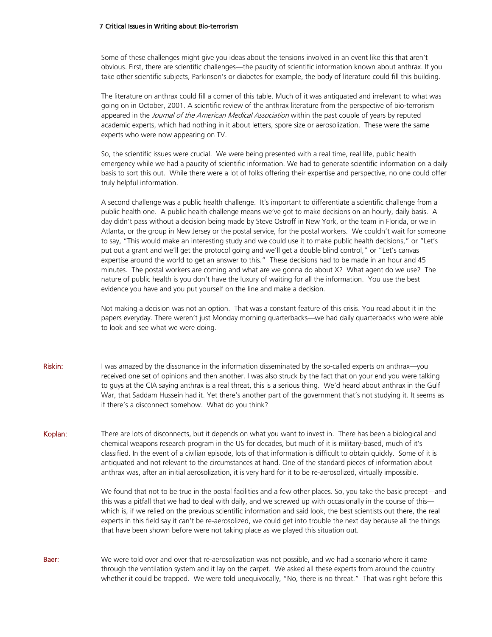Some of these challenges might give you ideas about the tensions involved in an event like this that aren't obvious. First, there are scientific challenges—the paucity of scientific information known about anthrax. If you take other scientific subjects, Parkinson's or diabetes for example, the body of literature could fill this building.

The literature on anthrax could fill a corner of this table. Much of it was antiquated and irrelevant to what was going on in October, 2001. A scientific review of the anthrax literature from the perspective of bio-terrorism appeared in the Journal of the American Medical Association within the past couple of years by reputed academic experts, which had nothing in it about letters, spore size or aerosolization. These were the same experts who were now appearing on TV.

So, the scientific issues were crucial. We were being presented with a real time, real life, public health emergency while we had a paucity of scientific information. We had to generate scientific information on a daily basis to sort this out. While there were a lot of folks offering their expertise and perspective, no one could offer truly helpful information.

A second challenge was a public health challenge. It's important to differentiate a scientific challenge from a public health one. A public health challenge means we've got to make decisions on an hourly, daily basis. A day didn't pass without a decision being made by Steve Ostroff in New York, or the team in Florida, or we in Atlanta, or the group in New Jersey or the postal service, for the postal workers. We couldn't wait for someone to say, "This would make an interesting study and we could use it to make public health decisions," or "Let's put out a grant and we'll get the protocol going and we'll get a double blind control," or "Let's canvas expertise around the world to get an answer to this." These decisions had to be made in an hour and 45 minutes. The postal workers are coming and what are we gonna do about X? What agent do we use? The nature of public health is you don't have the luxury of waiting for all the information. You use the best evidence you have and you put yourself on the line and make a decision.

Not making a decision was not an option. That was a constant feature of this crisis. You read about it in the papers everyday. There weren't just Monday morning quarterbacks—we had daily quarterbacks who were able to look and see what we were doing.

Riskin: I was amazed by the dissonance in the information disseminated by the so-called experts on anthrax—you received one set of opinions and then another. I was also struck by the fact that on your end you were talking to guys at the CIA saying anthrax is a real threat, this is a serious thing. We'd heard about anthrax in the Gulf War, that Saddam Hussein had it. Yet there's another part of the government that's not studying it. It seems as if there's a disconnect somehow. What do you think?

Koplan: There are lots of disconnects, but it depends on what you want to invest in. There has been a biological and chemical weapons research program in the US for decades, but much of it is military-based, much of it's classified. In the event of a civilian episode, lots of that information is difficult to obtain quickly. Some of it is antiquated and not relevant to the circumstances at hand. One of the standard pieces of information about anthrax was, after an initial aerosolization, it is very hard for it to be re-aerosolized, virtually impossible.

> We found that not to be true in the postal facilities and a few other places. So, you take the basic precept—and this was a pitfall that we had to deal with daily, and we screwed up with occasionally in the course of this which is, if we relied on the previous scientific information and said look, the best scientists out there, the real experts in this field say it can't be re-aerosolized, we could get into trouble the next day because all the things that have been shown before were not taking place as we played this situation out.

Baer: We were told over and over that re-aerosolization was not possible, and we had a scenario where it came through the ventilation system and it lay on the carpet. We asked all these experts from around the country whether it could be trapped. We were told unequivocally, "No, there is no threat." That was right before this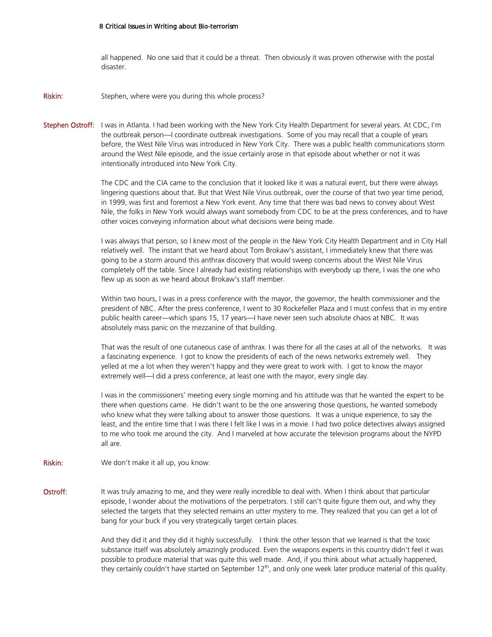all happened. No one said that it could be a threat. Then obviously it was proven otherwise with the postal disaster.

**Riskin:** Stephen, where were you during this whole process?

Stephen Ostroff: I was in Atlanta. I had been working with the New York City Health Department for several years. At CDC, I'm the outbreak person—I coordinate outbreak investigations. Some of you may recall that a couple of years before, the West Nile Virus was introduced in New York City. There was a public health communications storm around the West Nile episode, and the issue certainly arose in that episode about whether or not it was intentionally introduced into New York City.

> The CDC and the CIA came to the conclusion that it looked like it was a natural event, but there were always lingering questions about that. But that West Nile Virus outbreak, over the course of that two year time period, in 1999, was first and foremost a New York event. Any time that there was bad news to convey about West Nile, the folks in New York would always want somebody from CDC to be at the press conferences, and to have other voices conveying information about what decisions were being made.

> I was always that person, so I knew most of the people in the New York City Health Department and in City Hall relatively well. The instant that we heard about Tom Brokaw's assistant, I immediately knew that there was going to be a storm around this anthrax discovery that would sweep concerns about the West Nile Virus completely off the table. Since I already had existing relationships with everybody up there, I was the one who flew up as soon as we heard about Brokaw's staff member.

> Within two hours, I was in a press conference with the mayor, the governor, the health commissioner and the president of NBC. After the press conference, I went to 30 Rockefeller Plaza and I must confess that in my entire public health career—which spans 15, 17 years—I have never seen such absolute chaos at NBC. It was absolutely mass panic on the mezzanine of that building.

> That was the result of one cutaneous case of anthrax. I was there for all the cases at all of the networks. It was a fascinating experience. I got to know the presidents of each of the news networks extremely well. They yelled at me a lot when they weren't happy and they were great to work with. I got to know the mayor extremely well—I did a press conference, at least one with the mayor, every single day.

> I was in the commissioners' meeting every single morning and his attitude was that he wanted the expert to be there when questions came. He didn't want to be the one answering those questions, he wanted somebody who knew what they were talking about to answer those questions. It was a unique experience, to say the least, and the entire time that I was there I felt like I was in a movie. I had two police detectives always assigned to me who took me around the city. And I marveled at how accurate the television programs about the NYPD all are.

- Riskin: We don't make it all up, you know.
- Ostroff: It was truly amazing to me, and they were really incredible to deal with. When I think about that particular episode, I wonder about the motivations of the perpetrators. I still can't quite figure them out, and why they selected the targets that they selected remains an utter mystery to me. They realized that you can get a lot of bang for your buck if you very strategically target certain places.

And they did it and they did it highly successfully. I think the other lesson that we learned is that the toxic substance itself was absolutely amazingly produced. Even the weapons experts in this country didn't feel it was possible to produce material that was quite this well made. And, if you think about what actually happened, they certainly couldn't have started on September  $12^{th}$ , and only one week later produce material of this quality.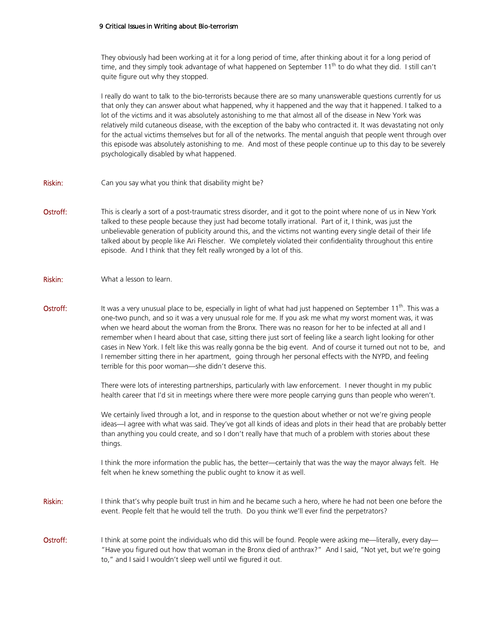They obviously had been working at it for a long period of time, after thinking about it for a long period of time, and they simply took advantage of what happened on September  $11<sup>th</sup>$  to do what they did. I still can't quite figure out why they stopped.

I really do want to talk to the bio-terrorists because there are so many unanswerable questions currently for us that only they can answer about what happened, why it happened and the way that it happened. I talked to a lot of the victims and it was absolutely astonishing to me that almost all of the disease in New York was relatively mild cutaneous disease, with the exception of the baby who contracted it. It was devastating not only for the actual victims themselves but for all of the networks. The mental anguish that people went through over this episode was absolutely astonishing to me. And most of these people continue up to this day to be severely psychologically disabled by what happened.

- Riskin: Can you say what you think that disability might be?
- Ostroff: This is clearly a sort of a post-traumatic stress disorder, and it got to the point where none of us in New York talked to these people because they just had become totally irrational. Part of it, I think, was just the unbelievable generation of publicity around this, and the victims not wanting every single detail of their life talked about by people like Ari Fleischer. We completely violated their confidentiality throughout this entire episode. And I think that they felt really wronged by a lot of this.
- Riskin: What a lesson to learn.
- **Ostroff:** It was a very unusual place to be, especially in light of what had just happened on September 11<sup>th</sup>. This was a one-two punch, and so it was a very unusual role for me. If you ask me what my worst moment was, it was when we heard about the woman from the Bronx. There was no reason for her to be infected at all and I remember when I heard about that case, sitting there just sort of feeling like a search light looking for other cases in New York. I felt like this was really gonna be the big event. And of course it turned out not to be, and I remember sitting there in her apartment, going through her personal effects with the NYPD, and feeling terrible for this poor woman—she didn't deserve this.

There were lots of interesting partnerships, particularly with law enforcement. I never thought in my public health career that I'd sit in meetings where there were more people carrying guns than people who weren't.

We certainly lived through a lot, and in response to the question about whether or not we're giving people ideas—I agree with what was said. They've got all kinds of ideas and plots in their head that are probably better than anything you could create, and so I don't really have that much of a problem with stories about these things.

I think the more information the public has, the better—certainly that was the way the mayor always felt. He felt when he knew something the public ought to know it as well.

- Riskin: I think that's why people built trust in him and he became such a hero, where he had not been one before the event. People felt that he would tell the truth. Do you think we'll ever find the perpetrators?
- Ostroff: I think at some point the individuals who did this will be found. People were asking me—literally, every day— "Have you figured out how that woman in the Bronx died of anthrax?" And I said, "Not yet, but we're going to," and I said I wouldn't sleep well until we figured it out.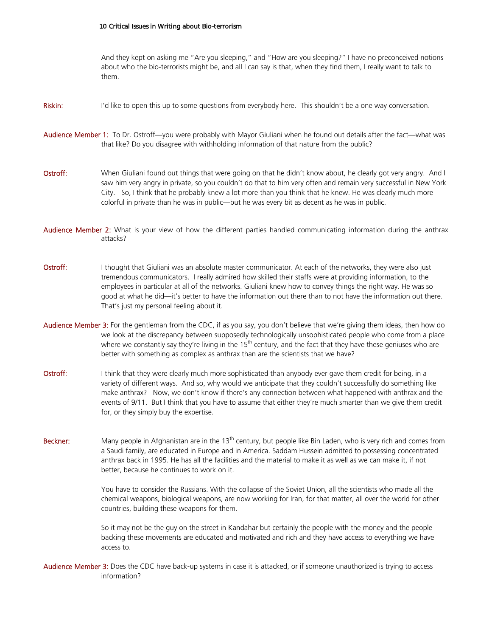And they kept on asking me "Are you sleeping," and "How are you sleeping?" I have no preconceived notions about who the bio-terrorists might be, and all I can say is that, when they find them, I really want to talk to them.

- Riskin: I'd like to open this up to some questions from everybody here. This shouldn't be a one way conversation.
- Audience Member 1: To Dr. Ostroff—you were probably with Mayor Giuliani when he found out details after the fact—what was that like? Do you disagree with withholding information of that nature from the public?
- Ostroff: When Giuliani found out things that were going on that he didn't know about, he clearly got very angry. And I saw him very angry in private, so you couldn't do that to him very often and remain very successful in New York City. So, I think that he probably knew a lot more than you think that he knew. He was clearly much more colorful in private than he was in public—but he was every bit as decent as he was in public.
- Audience Member 2: What is your view of how the different parties handled communicating information during the anthrax attacks?
- Ostroff: I thought that Giuliani was an absolute master communicator. At each of the networks, they were also just tremendous communicators. I really admired how skilled their staffs were at providing information, to the employees in particular at all of the networks. Giuliani knew how to convey things the right way. He was so good at what he did—it's better to have the information out there than to not have the information out there. That's just my personal feeling about it.
- Audience Member 3: For the gentleman from the CDC, if as you say, you don't believe that we're giving them ideas, then how do we look at the discrepancy between supposedly technologically unsophisticated people who come from a place where we constantly say they're living in the  $15<sup>th</sup>$  century, and the fact that they have these geniuses who are better with something as complex as anthrax than are the scientists that we have?
- Ostroff: I think that they were clearly much more sophisticated than anybody ever gave them credit for being, in a variety of different ways. And so, why would we anticipate that they couldn't successfully do something like make anthrax? Now, we don't know if there's any connection between what happened with anthrax and the events of 9/11. But I think that you have to assume that either they're much smarter than we give them credit for, or they simply buy the expertise.
- **Beckner:** Many people in Afghanistan are in the 13<sup>th</sup> century, but people like Bin Laden, who is very rich and comes from a Saudi family, are educated in Europe and in America. Saddam Hussein admitted to possessing concentrated anthrax back in 1995. He has all the facilities and the material to make it as well as we can make it, if not better, because he continues to work on it.

You have to consider the Russians. With the collapse of the Soviet Union, all the scientists who made all the chemical weapons, biological weapons, are now working for Iran, for that matter, all over the world for other countries, building these weapons for them.

So it may not be the guy on the street in Kandahar but certainly the people with the money and the people backing these movements are educated and motivated and rich and they have access to everything we have access to.

Audience Member 3: Does the CDC have back-up systems in case it is attacked, or if someone unauthorized is trying to access information?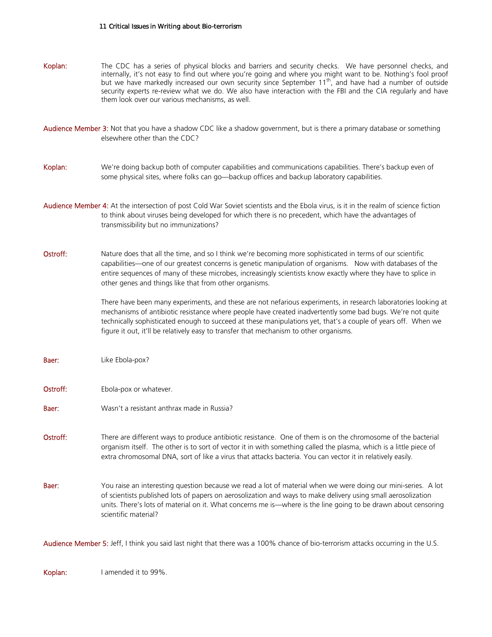| Koplan:                                                                                                                          | The CDC has a series of physical blocks and barriers and security checks. We have personnel checks, and<br>internally, it's not easy to find out where you're going and where you might want to be. Nothing's fool proof<br>but we have markedly increased our own security since September 11 <sup>th</sup> , and have had a number of outside<br>security experts re-review what we do. We also have interaction with the FBI and the CIA regularly and have<br>them look over our various mechanisms, as well. |
|----------------------------------------------------------------------------------------------------------------------------------|-------------------------------------------------------------------------------------------------------------------------------------------------------------------------------------------------------------------------------------------------------------------------------------------------------------------------------------------------------------------------------------------------------------------------------------------------------------------------------------------------------------------|
|                                                                                                                                  | Audience Member 3: Not that you have a shadow CDC like a shadow government, but is there a primary database or something<br>elsewhere other than the CDC?                                                                                                                                                                                                                                                                                                                                                         |
| Koplan:                                                                                                                          | We're doing backup both of computer capabilities and communications capabilities. There's backup even of<br>some physical sites, where folks can go-backup offices and backup laboratory capabilities.                                                                                                                                                                                                                                                                                                            |
|                                                                                                                                  | Audience Member 4: At the intersection of post Cold War Soviet scientists and the Ebola virus, is it in the realm of science fiction<br>to think about viruses being developed for which there is no precedent, which have the advantages of<br>transmissibility but no immunizations?                                                                                                                                                                                                                            |
| Ostroff:                                                                                                                         | Nature does that all the time, and so I think we're becoming more sophisticated in terms of our scientific<br>capabilities—one of our greatest concerns is genetic manipulation of organisms. Now with databases of the<br>entire sequences of many of these microbes, increasingly scientists know exactly where they have to splice in<br>other genes and things like that from other organisms.                                                                                                                |
|                                                                                                                                  | There have been many experiments, and these are not nefarious experiments, in research laboratories looking at<br>mechanisms of antibiotic resistance where people have created inadvertently some bad bugs. We're not quite<br>technically sophisticated enough to succeed at these manipulations yet, that's a couple of years off. When we<br>figure it out, it'll be relatively easy to transfer that mechanism to other organisms.                                                                           |
| Baer:                                                                                                                            | Like Ebola-pox?                                                                                                                                                                                                                                                                                                                                                                                                                                                                                                   |
| Ostroff:                                                                                                                         | Ebola-pox or whatever.                                                                                                                                                                                                                                                                                                                                                                                                                                                                                            |
| Baer:                                                                                                                            | Wasn't a resistant anthrax made in Russia?                                                                                                                                                                                                                                                                                                                                                                                                                                                                        |
| Ostroff:                                                                                                                         | There are different ways to produce antibiotic resistance. One of them is on the chromosome of the bacterial<br>organism itself. The other is to sort of vector it in with something called the plasma, which is a little piece of<br>extra chromosomal DNA, sort of like a virus that attacks bacteria. You can vector it in relatively easily.                                                                                                                                                                  |
| Baer:                                                                                                                            | You raise an interesting question because we read a lot of material when we were doing our mini-series. A lot<br>of scientists published lots of papers on aerosolization and ways to make delivery using small aerosolization<br>units. There's lots of material on it. What concerns me is—where is the line going to be drawn about censoring<br>scientific material?                                                                                                                                          |
| Audience Member 5: Jeff, I think you said last night that there was a 100% chance of bio-terrorism attacks occurring in the U.S. |                                                                                                                                                                                                                                                                                                                                                                                                                                                                                                                   |

Koplan: I amended it to 99%.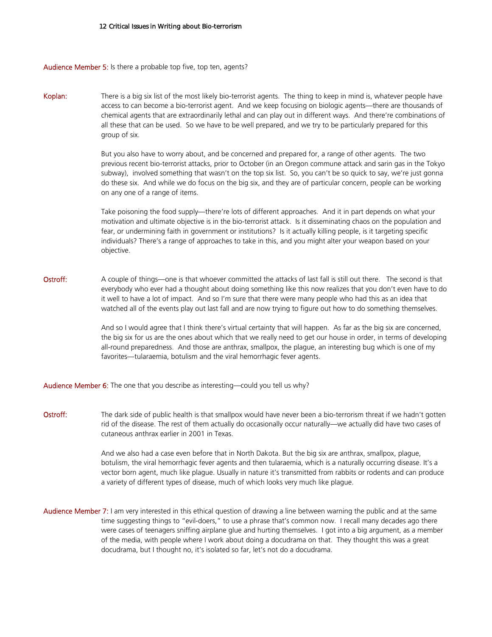Audience Member 5: Is there a probable top five, top ten, agents?

Koplan: There is a big six list of the most likely bio-terrorist agents. The thing to keep in mind is, whatever people have access to can become a bio-terrorist agent. And we keep focusing on biologic agents—there are thousands of chemical agents that are extraordinarily lethal and can play out in different ways. And there're combinations of all these that can be used. So we have to be well prepared, and we try to be particularly prepared for this group of six.

> But you also have to worry about, and be concerned and prepared for, a range of other agents. The two previous recent bio-terrorist attacks, prior to October (in an Oregon commune attack and sarin gas in the Tokyo subway), involved something that wasn't on the top six list. So, you can't be so quick to say, we're just gonna do these six. And while we do focus on the big six, and they are of particular concern, people can be working on any one of a range of items.

> Take poisoning the food supply—there're lots of different approaches. And it in part depends on what your motivation and ultimate objective is in the bio-terrorist attack. Is it disseminating chaos on the population and fear, or undermining faith in government or institutions? Is it actually killing people, is it targeting specific individuals? There's a range of approaches to take in this, and you might alter your weapon based on your objective.

Ostroff: A couple of things—one is that whoever committed the attacks of last fall is still out there. The second is that everybody who ever had a thought about doing something like this now realizes that you don't even have to do it well to have a lot of impact. And so I'm sure that there were many people who had this as an idea that watched all of the events play out last fall and are now trying to figure out how to do something themselves.

> And so I would agree that I think there's virtual certainty that will happen. As far as the big six are concerned, the big six for us are the ones about which that we really need to get our house in order, in terms of developing all-round preparedness. And those are anthrax, smallpox, the plague, an interesting bug which is one of my favorites—tularaemia, botulism and the viral hemorrhagic fever agents.

Audience Member 6: The one that you describe as interesting—could you tell us why?

Ostroff: The dark side of public health is that smallpox would have never been a bio-terrorism threat if we hadn't gotten rid of the disease. The rest of them actually do occasionally occur naturally—we actually did have two cases of cutaneous anthrax earlier in 2001 in Texas.

> And we also had a case even before that in North Dakota. But the big six are anthrax, smallpox, plague, botulism, the viral hemorrhagic fever agents and then tularaemia, which is a naturally occurring disease. It's a vector born agent, much like plague. Usually in nature it's transmitted from rabbits or rodents and can produce a variety of different types of disease, much of which looks very much like plague.

Audience Member 7: I am very interested in this ethical question of drawing a line between warning the public and at the same time suggesting things to "evil-doers," to use a phrase that's common now. I recall many decades ago there were cases of teenagers sniffing airplane glue and hurting themselves. I got into a big argument, as a member of the media, with people where I work about doing a docudrama on that. They thought this was a great docudrama, but I thought no, it's isolated so far, let's not do a docudrama.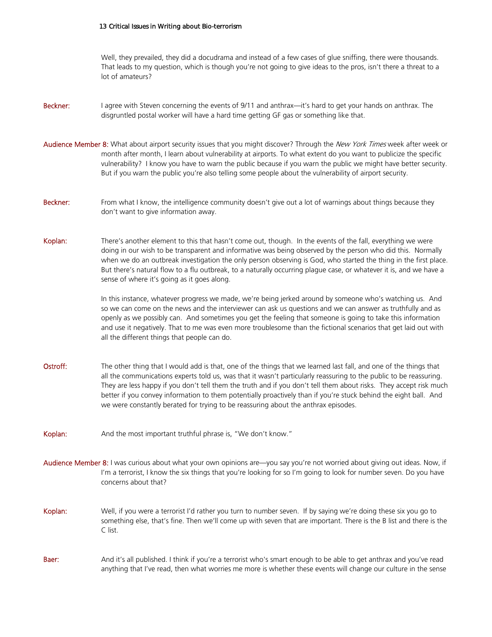Well, they prevailed, they did a docudrama and instead of a few cases of glue sniffing, there were thousands. That leads to my question, which is though you're not going to give ideas to the pros, isn't there a threat to a lot of amateurs?

- Beckner: I agree with Steven concerning the events of 9/11 and anthrax—it's hard to get your hands on anthrax. The disgruntled postal worker will have a hard time getting GF gas or something like that.
- Audience Member 8: What about airport security issues that you might discover? Through the New York Times week after week or month after month, I learn about vulnerability at airports. To what extent do you want to publicize the specific vulnerability? I know you have to warn the public because if you warn the public we might have better security. But if you warn the public you're also telling some people about the vulnerability of airport security.
- Beckner: From what I know, the intelligence community doesn't give out a lot of warnings about things because they don't want to give information away.
- Koplan: There's another element to this that hasn't come out, though. In the events of the fall, everything we were doing in our wish to be transparent and informative was being observed by the person who did this. Normally when we do an outbreak investigation the only person observing is God, who started the thing in the first place. But there's natural flow to a flu outbreak, to a naturally occurring plague case, or whatever it is, and we have a sense of where it's going as it goes along.

In this instance, whatever progress we made, we're being jerked around by someone who's watching us. And so we can come on the news and the interviewer can ask us questions and we can answer as truthfully and as openly as we possibly can. And sometimes you get the feeling that someone is going to take this information and use it negatively. That to me was even more troublesome than the fictional scenarios that get laid out with all the different things that people can do.

- Ostroff: The other thing that I would add is that, one of the things that we learned last fall, and one of the things that all the communications experts told us, was that it wasn't particularly reassuring to the public to be reassuring. They are less happy if you don't tell them the truth and if you don't tell them about risks. They accept risk much better if you convey information to them potentially proactively than if you're stuck behind the eight ball. And we were constantly berated for trying to be reassuring about the anthrax episodes.
- Koplan: And the most important truthful phrase is, "We don't know."
- Audience Member 8: I was curious about what your own opinions are—you say you're not worried about giving out ideas. Now, if I'm a terrorist, I know the six things that you're looking for so I'm going to look for number seven. Do you have concerns about that?
- Koplan: Well, if you were a terrorist I'd rather you turn to number seven. If by saying we're doing these six you go to something else, that's fine. Then we'll come up with seven that are important. There is the B list and there is the C list.
- Baer: And it's all published. I think if you're a terrorist who's smart enough to be able to get anthrax and you've read anything that I've read, then what worries me more is whether these events will change our culture in the sense